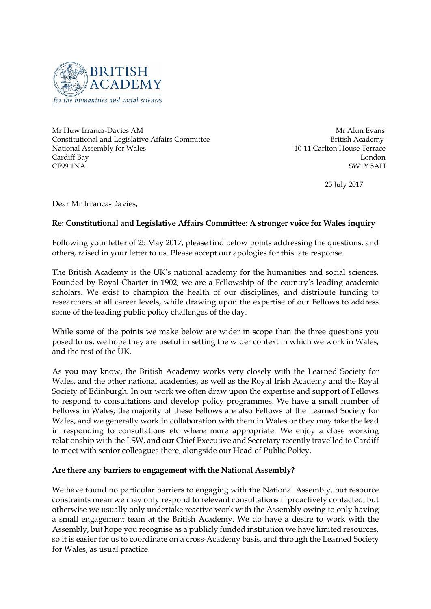

Mr Huw Irranca-Davies AM Constitutional and Legislative Affairs Committee National Assembly for Wales Cardiff Bay CF99 1NA

 Mr Alun Evans British Academy 10-11 Carlton House Terrace London SW1Y 5AH

25 July 2017

Dear Mr Irranca-Davies,

## **Re: Constitutional and Legislative Affairs Committee: A stronger voice for Wales inquiry**

Following your letter of 25 May 2017, please find below points addressing the questions, and others, raised in your letter to us. Please accept our apologies for this late response.

The British Academy is the UK's national academy for the humanities and social sciences. Founded by Royal Charter in 1902, we are a Fellowship of the country's leading academic scholars. We exist to champion the health of our disciplines, and distribute funding to researchers at all career levels, while drawing upon the expertise of our Fellows to address some of the leading public policy challenges of the day.

While some of the points we make below are wider in scope than the three questions you posed to us, we hope they are useful in setting the wider context in which we work in Wales, and the rest of the UK.

As you may know, the British Academy works very closely with the Learned Society for Wales, and the other national academies, as well as the Royal Irish Academy and the Royal Society of Edinburgh. In our work we often draw upon the expertise and support of Fellows to respond to consultations and develop policy programmes. We have a small number of Fellows in Wales; the majority of these Fellows are also Fellows of the Learned Society for Wales, and we generally work in collaboration with them in Wales or they may take the lead in responding to consultations etc where more appropriate. We enjoy a close working relationship with the LSW, and our Chief Executive and Secretary recently travelled to Cardiff to meet with senior colleagues there, alongside our Head of Public Policy.

## **Are there any barriers to engagement with the National Assembly?**

We have found no particular barriers to engaging with the National Assembly, but resource constraints mean we may only respond to relevant consultations if proactively contacted, but otherwise we usually only undertake reactive work with the Assembly owing to only having a small engagement team at the British Academy. We do have a desire to work with the Assembly, but hope you recognise as a publicly funded institution we have limited resources, so it is easier for us to coordinate on a cross-Academy basis, and through the Learned Society for Wales, as usual practice.